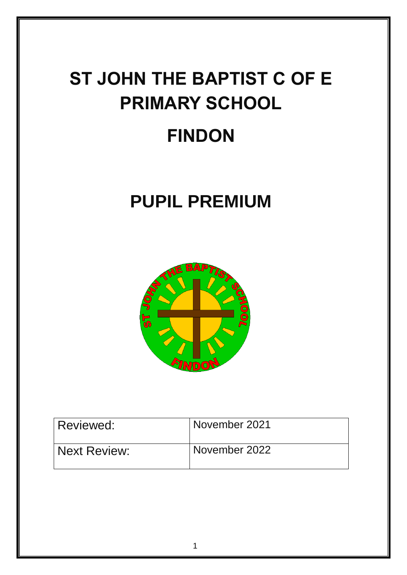# **ST JOHN THE BAPTIST C OF E PRIMARY SCHOOL**

# **FINDON**

# **PUPIL PREMIUM**



| Reviewed:           | November 2021 |
|---------------------|---------------|
| <b>Next Review:</b> | November 2022 |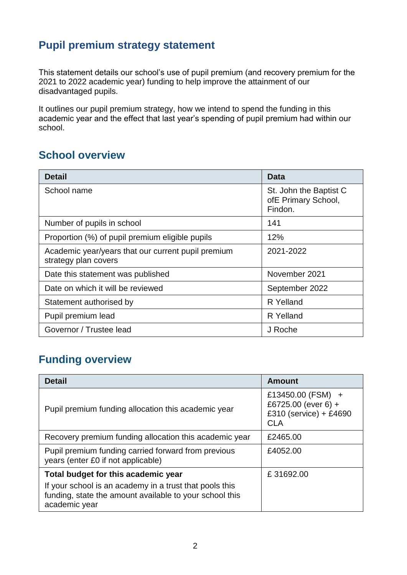# **Pupil premium strategy statement**

This statement details our school's use of pupil premium (and recovery premium for the 2021 to 2022 academic year) funding to help improve the attainment of our disadvantaged pupils.

It outlines our pupil premium strategy, how we intend to spend the funding in this academic year and the effect that last year's spending of pupil premium had within our school.

# **School overview**

| <b>Detail</b>                                                              | Data                                                     |
|----------------------------------------------------------------------------|----------------------------------------------------------|
| School name                                                                | St. John the Baptist C<br>ofE Primary School,<br>Findon. |
| Number of pupils in school                                                 | 141                                                      |
| Proportion (%) of pupil premium eligible pupils                            | 12%                                                      |
| Academic year/years that our current pupil premium<br>strategy plan covers | 2021-2022                                                |
| Date this statement was published                                          | November 2021                                            |
| Date on which it will be reviewed                                          | September 2022                                           |
| Statement authorised by                                                    | R Yelland                                                |
| Pupil premium lead                                                         | R Yelland                                                |
| Governor / Trustee lead                                                    | J Roche                                                  |

# **Funding overview**

| <b>Detail</b>                                                                                                                       | <b>Amount</b>                                                                    |
|-------------------------------------------------------------------------------------------------------------------------------------|----------------------------------------------------------------------------------|
| Pupil premium funding allocation this academic year                                                                                 | £13450.00 (FSM) +<br>£6725.00 (ever 6) +<br>£310 (service) + £4690<br><b>CLA</b> |
| Recovery premium funding allocation this academic year                                                                              | £2465.00                                                                         |
| Pupil premium funding carried forward from previous<br>years (enter £0 if not applicable)                                           | £4052.00                                                                         |
| Total budget for this academic year                                                                                                 | £31692.00                                                                        |
| If your school is an academy in a trust that pools this<br>funding, state the amount available to your school this<br>academic year |                                                                                  |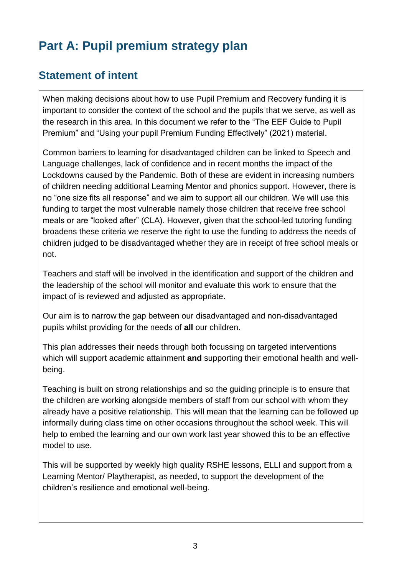# **Part A: Pupil premium strategy plan**

# **Statement of intent**

When making decisions about how to use Pupil Premium and Recovery funding it is important to consider the context of the school and the pupils that we serve, as well as the research in this area. In this document we refer to the "The EEF Guide to Pupil Premium" and "Using your pupil Premium Funding Effectively" (2021) material.

Common barriers to learning for disadvantaged children can be linked to Speech and Language challenges, lack of confidence and in recent months the impact of the Lockdowns caused by the Pandemic. Both of these are evident in increasing numbers of children needing additional Learning Mentor and phonics support. However, there is no "one size fits all response" and we aim to support all our children. We will use this funding to target the most vulnerable namely those children that receive free school meals or are "looked after" (CLA). However, given that the school-led tutoring funding broadens these criteria we reserve the right to use the funding to address the needs of children judged to be disadvantaged whether they are in receipt of free school meals or not.

Teachers and staff will be involved in the identification and support of the children and the leadership of the school will monitor and evaluate this work to ensure that the impact of is reviewed and adjusted as appropriate.

Our aim is to narrow the gap between our disadvantaged and non-disadvantaged pupils whilst providing for the needs of **all** our children.

This plan addresses their needs through both focussing on targeted interventions which will support academic attainment **and** supporting their emotional health and wellbeing.

Teaching is built on strong relationships and so the guiding principle is to ensure that the children are working alongside members of staff from our school with whom they already have a positive relationship. This will mean that the learning can be followed up informally during class time on other occasions throughout the school week. This will help to embed the learning and our own work last year showed this to be an effective model to use.

This will be supported by weekly high quality RSHE lessons, ELLI and support from a Learning Mentor/ Playtherapist, as needed, to support the development of the children's resilience and emotional well-being.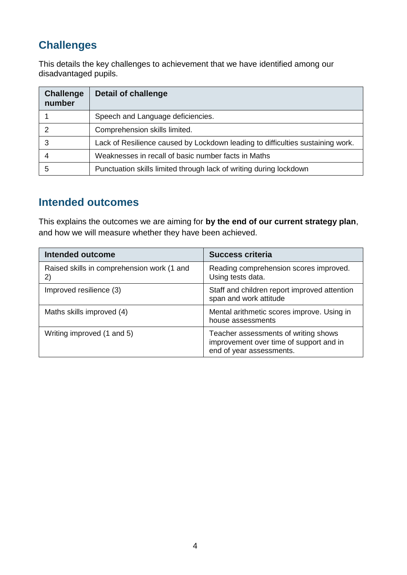# **Challenges**

This details the key challenges to achievement that we have identified among our disadvantaged pupils.

| <b>Challenge</b><br>number | <b>Detail of challenge</b>                                                     |
|----------------------------|--------------------------------------------------------------------------------|
|                            | Speech and Language deficiencies.                                              |
| っ                          | Comprehension skills limited.                                                  |
| 3                          | Lack of Resilience caused by Lockdown leading to difficulties sustaining work. |
|                            | Weaknesses in recall of basic number facts in Maths                            |
| 5                          | Punctuation skills limited through lack of writing during lockdown             |

# **Intended outcomes**

This explains the outcomes we are aiming for **by the end of our current strategy plan**, and how we will measure whether they have been achieved.

| <b>Intended outcome</b>                          | <b>Success criteria</b>                                                                                     |
|--------------------------------------------------|-------------------------------------------------------------------------------------------------------------|
| Raised skills in comprehension work (1 and<br>2) | Reading comprehension scores improved.<br>Using tests data.                                                 |
| Improved resilience (3)                          | Staff and children report improved attention<br>span and work attitude                                      |
| Maths skills improved (4)                        | Mental arithmetic scores improve. Using in<br>house assessments                                             |
| Writing improved (1 and 5)                       | Teacher assessments of writing shows<br>improvement over time of support and in<br>end of year assessments. |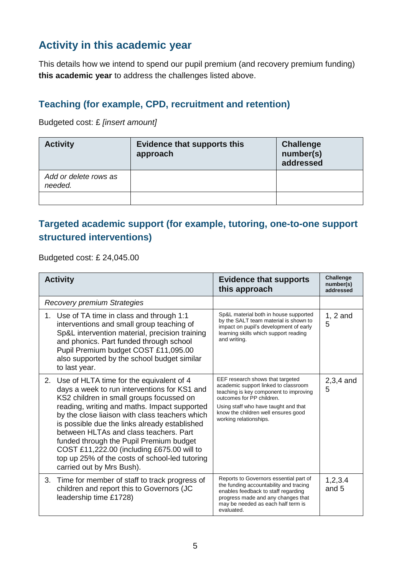# **Activity in this academic year**

This details how we intend to spend our pupil premium (and recovery premium funding) **this academic year** to address the challenges listed above.

#### **Teaching (for example, CPD, recruitment and retention)**

Budgeted cost: £ *[insert amount]*

| <b>Activity</b>                  | <b>Evidence that supports this</b><br>approach | <b>Challenge</b><br>number(s)<br>addressed |
|----------------------------------|------------------------------------------------|--------------------------------------------|
| Add or delete rows as<br>needed. |                                                |                                            |
|                                  |                                                |                                            |

#### **Targeted academic support (for example, tutoring, one-to-one support structured interventions)**

Budgeted cost: £ 24,045.00

| <b>Activity</b>                                                                                                                                                                                                                                                                                                                                                                                                                                                                                              | <b>Evidence that supports</b><br>this approach                                                                                                                                                                                                           | <b>Challenge</b><br>number(s)<br>addressed |
|--------------------------------------------------------------------------------------------------------------------------------------------------------------------------------------------------------------------------------------------------------------------------------------------------------------------------------------------------------------------------------------------------------------------------------------------------------------------------------------------------------------|----------------------------------------------------------------------------------------------------------------------------------------------------------------------------------------------------------------------------------------------------------|--------------------------------------------|
| <b>Recovery premium Strategies</b>                                                                                                                                                                                                                                                                                                                                                                                                                                                                           |                                                                                                                                                                                                                                                          |                                            |
| 1. Use of TA time in class and through 1:1<br>interventions and small group teaching of<br>Sp&L intervention material, precision training<br>and phonics. Part funded through school<br>Pupil Premium budget COST £11,095.00<br>also supported by the school budget similar<br>to last year.                                                                                                                                                                                                                 | Sp&L material both in house supported<br>by the SALT team material is shown to<br>impact on pupil's development of early<br>learning skills which support reading<br>and writing.                                                                        | $1, 2$ and<br>5                            |
| 2. Use of HLTA time for the equivalent of 4<br>days a week to run interventions for KS1 and<br>KS2 children in small groups focussed on<br>reading, writing and maths. Impact supported<br>by the close liaison with class teachers which<br>is possible due the links already established<br>between HLTAs and class teachers. Part<br>funded through the Pupil Premium budget<br>COST £11,222.00 (including £675.00 will to<br>top up 25% of the costs of school-led tutoring<br>carried out by Mrs Bush). | EEF research shows that targeted<br>academic support linked to classroom<br>teaching is key component to improving<br>outcomes for PP children.<br>Using staff who have taught and that<br>know the children well ensures good<br>working relationships. | $2,3,4$ and<br>5                           |
| Time for member of staff to track progress of<br>3.<br>children and report this to Governors (JC<br>leadership time £1728)                                                                                                                                                                                                                                                                                                                                                                                   | Reports to Governors essential part of<br>the funding accountability and tracing<br>enables feedback to staff regarding<br>progress made and any changes that<br>may be needed as each half term is<br>evaluated.                                        | 1,2,3.4<br>and 5                           |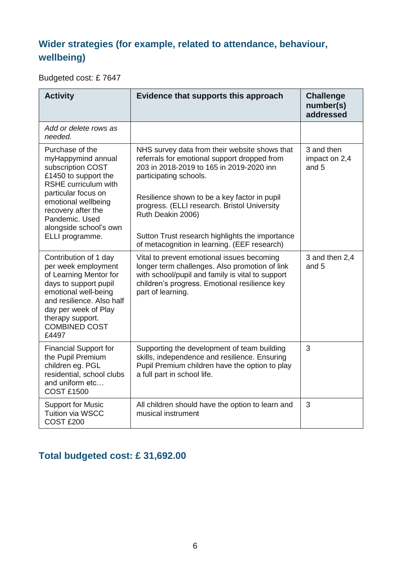### **Wider strategies (for example, related to attendance, behaviour, wellbeing)**

Budgeted cost: £ 7647

| <b>Activity</b>                                                                                                                                                                                                                   | Evidence that supports this approach                                                                                                                                                                                                                                                     | <b>Challenge</b><br>number(s)<br>addressed |
|-----------------------------------------------------------------------------------------------------------------------------------------------------------------------------------------------------------------------------------|------------------------------------------------------------------------------------------------------------------------------------------------------------------------------------------------------------------------------------------------------------------------------------------|--------------------------------------------|
| Add or delete rows as<br>needed.                                                                                                                                                                                                  |                                                                                                                                                                                                                                                                                          |                                            |
| Purchase of the<br>myHappymind annual<br>subscription COST<br>£1450 to support the<br><b>RSHE</b> curriculum with<br>particular focus on<br>emotional wellbeing<br>recovery after the<br>Pandemic. Used                           | NHS survey data from their website shows that<br>referrals for emotional support dropped from<br>203 in 2018-2019 to 165 in 2019-2020 inn<br>participating schools.<br>Resilience shown to be a key factor in pupil<br>progress. (ELLI research. Bristol University<br>Ruth Deakin 2006) | 3 and then<br>impact on 2,4<br>and 5       |
| alongside school's own<br>ELLI programme.                                                                                                                                                                                         | Sutton Trust research highlights the importance<br>of metacognition in learning. (EEF research)                                                                                                                                                                                          |                                            |
| Contribution of 1 day<br>per week employment<br>of Learning Mentor for<br>days to support pupil<br>emotional well-being<br>and resilience. Also half<br>day per week of Play<br>therapy support.<br><b>COMBINED COST</b><br>£4497 | Vital to prevent emotional issues becoming<br>longer term challenges. Also promotion of link<br>with school/pupil and family is vital to support<br>children's progress. Emotional resilience key<br>part of learning.                                                                   | 3 and then 2,4<br>and 5                    |
| <b>Financial Support for</b><br>the Pupil Premium<br>children eg. PGL<br>residential, school clubs<br>and uniform etc<br><b>COST £1500</b>                                                                                        | Supporting the development of team building<br>skills, independence and resilience. Ensuring<br>Pupil Premium children have the option to play<br>a full part in school life.                                                                                                            | 3                                          |
| <b>Support for Music</b><br><b>Tuition via WSCC</b><br>COST <sub>£200</sub>                                                                                                                                                       | All children should have the option to learn and<br>musical instrument                                                                                                                                                                                                                   | 3                                          |

# **Total budgeted cost: £ 31,692.00**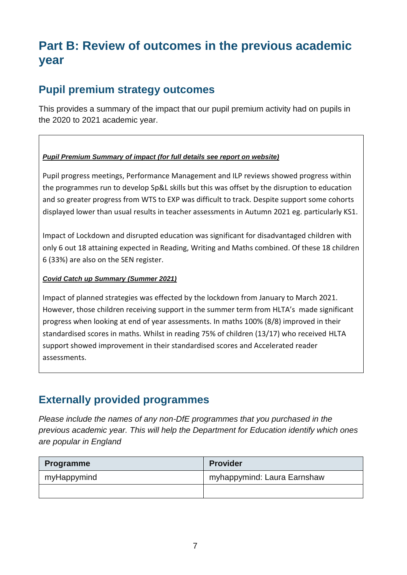# **Part B: Review of outcomes in the previous academic year**

### **Pupil premium strategy outcomes**

This provides a summary of the impact that our pupil premium activity had on pupils in the 2020 to 2021 academic year.

#### *Pupil Premium Summary of impact (for full details see report on website)*

Pupil progress meetings, Performance Management and ILP reviews showed progress within the programmes run to develop Sp&L skills but this was offset by the disruption to education and so greater progress from WTS to EXP was difficult to track. Despite support some cohorts displayed lower than usual results in teacher assessments in Autumn 2021 eg. particularly KS1.

Impact of Lockdown and disrupted education was significant for disadvantaged children with only 6 out 18 attaining expected in Reading, Writing and Maths combined. Of these 18 children 6 (33%) are also on the SEN register.

#### *Covid Catch up Summary (Summer 2021)*

Impact of planned strategies was effected by the lockdown from January to March 2021. However, those children receiving support in the summer term from HLTA's made significant progress when looking at end of year assessments. In maths 100% (8/8) improved in their standardised scores in maths. Whilst in reading 75% of children (13/17) who received HLTA support showed improvement in their standardised scores and Accelerated reader assessments.

#### **Externally provided programmes**

*Please include the names of any non-DfE programmes that you purchased in the previous academic year. This will help the Department for Education identify which ones are popular in England*

| <b>Programme</b> | <b>Provider</b>             |
|------------------|-----------------------------|
| myHappymind      | myhappymind: Laura Earnshaw |
|                  |                             |